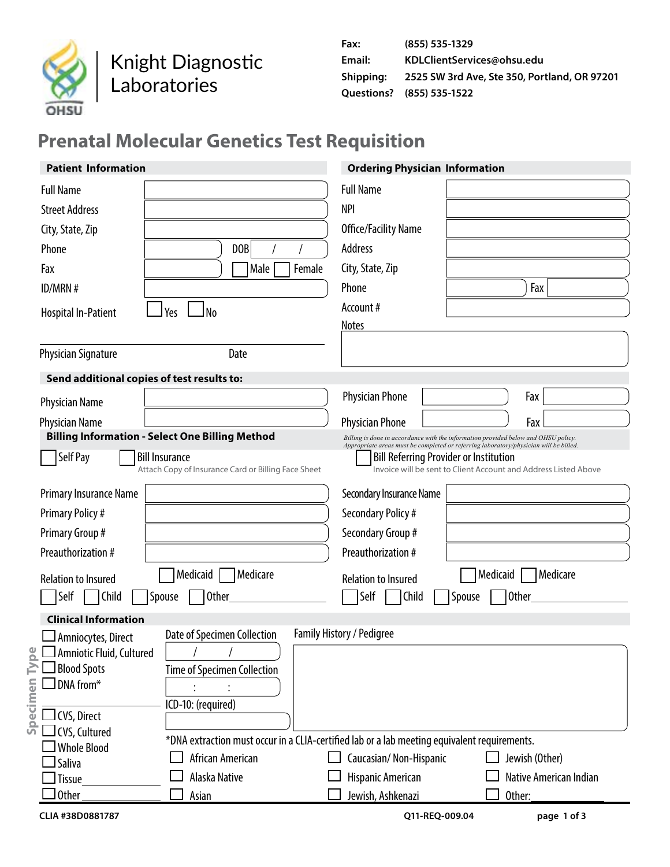

Knight Diagnostic Laboratories

## **Prenatal Molecular Genetics Test Requisition**

| <b>Patient Information</b>                             |                                                          | <b>Ordering Physician Information</b>                                                                                                                                       |                        |
|--------------------------------------------------------|----------------------------------------------------------|-----------------------------------------------------------------------------------------------------------------------------------------------------------------------------|------------------------|
| <b>Full Name</b><br><b>Street Address</b>              |                                                          | <b>Full Name</b><br><b>NPI</b>                                                                                                                                              |                        |
|                                                        |                                                          | Office/Facility Name                                                                                                                                                        |                        |
| City, State, Zip                                       | DOB                                                      | Address                                                                                                                                                                     |                        |
| Phone                                                  |                                                          |                                                                                                                                                                             |                        |
| Fax                                                    | Female<br>Male                                           | City, State, Zip<br>Phone                                                                                                                                                   |                        |
| ID/MRN#                                                |                                                          | Account#                                                                                                                                                                    | Fax                    |
| Yes<br>l No<br>Hospital In-Patient                     |                                                          | <b>Notes</b>                                                                                                                                                                |                        |
| <b>Physician Signature</b>                             | Date                                                     |                                                                                                                                                                             |                        |
| Send additional copies of test results to:             |                                                          |                                                                                                                                                                             |                        |
| <b>Physician Name</b>                                  |                                                          | <b>Physician Phone</b>                                                                                                                                                      | Fax                    |
| Physician Name                                         |                                                          | <b>Physician Phone</b>                                                                                                                                                      | Fax                    |
| <b>Billing Information - Select One Billing Method</b> |                                                          | Billing is done in accordance with the information provided below and OHSU policy.<br>Appropriate areas must be completed or referring laboratory/physician will be billed. |                        |
| Self Pay<br><b>Bill Insurance</b>                      | Attach Copy of Insurance Card or Billing Face Sheet      | <b>Bill Referring Provider or Institution</b><br>Invoice will be sent to Client Account and Address Listed Above                                                            |                        |
| Primary Insurance Name                                 |                                                          | Secondary Insurance Name                                                                                                                                                    |                        |
| <b>Primary Policy#</b>                                 |                                                          | Secondary Policy #                                                                                                                                                          |                        |
| Primary Group #                                        |                                                          | Secondary Group #                                                                                                                                                           |                        |
| Preauthorization #                                     |                                                          | Preauthorization #                                                                                                                                                          |                        |
| Medicaid<br><b>Relation to Insured</b>                 | Medicare                                                 | <b>Relation to Insured</b>                                                                                                                                                  | Medicare<br>Medicaid   |
| Self<br>Child<br>Spouse<br><b>Other</b>                |                                                          | Self<br>Child<br>Spouse                                                                                                                                                     | <b>Other</b>           |
| <b>Clinical Information</b>                            |                                                          |                                                                                                                                                                             |                        |
| ⊿Amniocytes, Direct                                    | Family History / Pedigree<br>Date of Specimen Collection |                                                                                                                                                                             |                        |
| $\Box$ Amniotic Fluid, Cultured                        |                                                          |                                                                                                                                                                             |                        |
| <b>Blood Spots</b><br>DNA from*                        | <b>Time of Specimen Collection</b>                       |                                                                                                                                                                             |                        |
| Specimen<br>ICD-10: (required)                         |                                                          |                                                                                                                                                                             |                        |
| $\exists$ CVS, Direct                                  |                                                          |                                                                                                                                                                             |                        |
| $\exists$ CVS, Cultured                                |                                                          | *DNA extraction must occur in a CLIA-certified lab or a lab meeting equivalent requirements.                                                                                |                        |
| <b>Whole Blood</b><br>Saliva                           | African American                                         | Caucasian/Non-Hispanic                                                                                                                                                      | Jewish (Other)         |
| Alaska Native<br>Tissue                                |                                                          | Hispanic American                                                                                                                                                           | Native American Indian |
| Other<br>Asian                                         |                                                          | Jewish, Ashkenazi                                                                                                                                                           | Other:                 |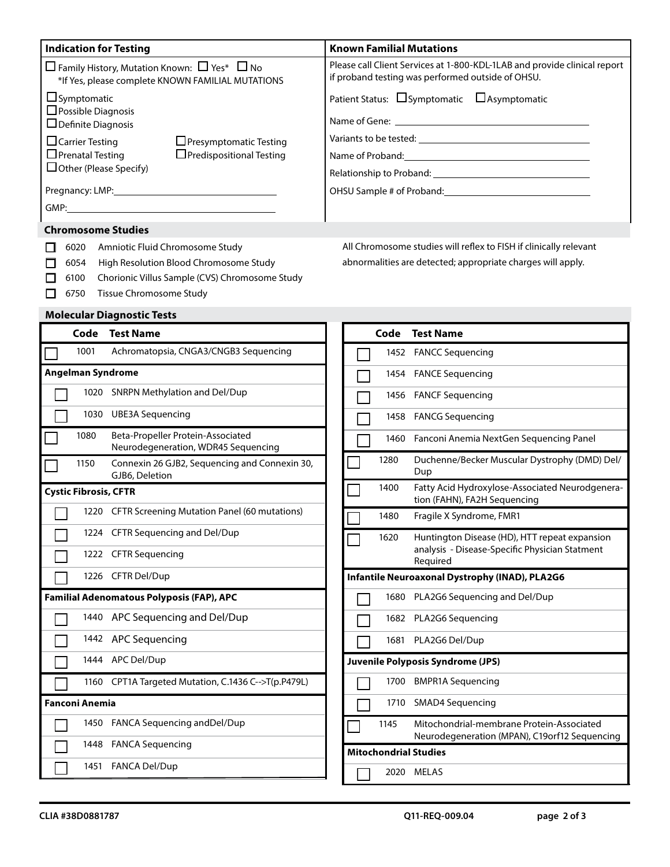| <b>Indication for Testing</b>                                                                                                                                                                                                 | <b>Known Familial Mutations</b>                                                                                                |  |  |  |  |
|-------------------------------------------------------------------------------------------------------------------------------------------------------------------------------------------------------------------------------|--------------------------------------------------------------------------------------------------------------------------------|--|--|--|--|
| $\Box$ Family History, Mutation Known: $\Box$ Yes* $\Box$ No<br>*If Yes, please complete KNOWN FAMILIAL MUTATIONS                                                                                                             | Please call Client Services at 1-800-KDL-1LAB and provide clinical report<br>if proband testing was performed outside of OHSU. |  |  |  |  |
| $\Box$ Symptomatic                                                                                                                                                                                                            | Patient Status: $\Box$ Symptomatic $\Box$ Asymptomatic                                                                         |  |  |  |  |
| $\Box$ Possible Diagnosis<br>$\Box$ Definite Diagnosis                                                                                                                                                                        |                                                                                                                                |  |  |  |  |
| $\Box$ Carrier Testing<br>$\Box$ Presymptomatic Testing                                                                                                                                                                       | Variants to be tested: Variants of the state of the state of the state of the state of the state of the state o                |  |  |  |  |
| $\Box$ Prenatal Testing<br>$\Box$ Predispositional Testing                                                                                                                                                                    | Name of Proband: Name of Proband:                                                                                              |  |  |  |  |
| $\Box$ Other (Please Specify)                                                                                                                                                                                                 |                                                                                                                                |  |  |  |  |
| Pregnancy: LMP: North and the contract of the contract of the contract of the contract of the contract of the contract of the contract of the contract of the contract of the contract of the contract of the contract of the | OHSU Sample # of Proband:                                                                                                      |  |  |  |  |
|                                                                                                                                                                                                                               |                                                                                                                                |  |  |  |  |
| <b>Chromosome Studies</b>                                                                                                                                                                                                     |                                                                                                                                |  |  |  |  |

|  | 6020 Amniotic Fluid Chromosome Study                |
|--|-----------------------------------------------------|
|  | 6054 High Resolution Blood Chromosome Study         |
|  | 6100 Chorionic Villus Sample (CVS) Chromosome Study |
|  | 6750 Tissue Chromosome Study                        |

**Molecular Diagnostic Tests**

## All Chromosome studies will reflex to FISH if clinically relevant abnormalities are detected; appropriate charges will apply.

|                          | Code                         | <b>Test Name</b>                                                         |                              | Code |                         | <b>Test Name</b>                                                                           |
|--------------------------|------------------------------|--------------------------------------------------------------------------|------------------------------|------|-------------------------|--------------------------------------------------------------------------------------------|
|                          | 1001                         | Achromatopsia, CNGA3/CNGB3 Sequencing                                    |                              |      |                         | 1452 FANCC Sequencing                                                                      |
| <b>Angelman Syndrome</b> |                              |                                                                          | 1454                         |      | <b>FANCE Sequencing</b> |                                                                                            |
|                          | 1020                         | <b>SNRPN Methylation and Del/Dup</b>                                     |                              | 1456 |                         | <b>FANCF Sequencing</b>                                                                    |
|                          | 1030                         | <b>UBE3A Sequencing</b>                                                  |                              | 1458 |                         | <b>FANCG Sequencing</b>                                                                    |
|                          | 1080                         | Beta-Propeller Protein-Associated<br>Neurodegeneration, WDR45 Sequencing |                              | 1460 |                         | Fanconi Anemia NextGen Sequencing Panel                                                    |
|                          | 1150                         | Connexin 26 GJB2, Sequencing and Connexin 30,<br>GJB6, Deletion          |                              | 1280 |                         | Duchenne/Becker Muscular Dystrophy (DMD) Del/<br>Dup                                       |
|                          | <b>Cystic Fibrosis, CFTR</b> |                                                                          |                              | 1400 |                         | Fatty Acid Hydroxylose-Associated Neurodgenera-<br>tion (FAHN), FA2H Sequencing            |
|                          |                              | 1220 CFTR Screening Mutation Panel (60 mutations)                        |                              | 1480 |                         | Fragile X Syndrome, FMR1                                                                   |
|                          |                              | 1224 CFTR Sequencing and Del/Dup                                         |                              | 1620 |                         | Huntington Disease (HD), HTT repeat expansion                                              |
|                          | 1222                         | <b>CFTR Sequencing</b>                                                   |                              |      |                         | analysis - Disease-Specific Physician Statment<br>Required                                 |
|                          |                              | 1226 CFTR Del/Dup                                                        |                              |      |                         | Infantile Neuroaxonal Dystrophy (INAD), PLA2G6                                             |
|                          |                              | Familial Adenomatous Polyposis (FAP), APC                                |                              | 1680 |                         | PLA2G6 Sequencing and Del/Dup                                                              |
|                          | 1440                         | APC Sequencing and Del/Dup                                               |                              |      |                         | 1682 PLA2G6 Sequencing                                                                     |
|                          | 1442                         | APC Sequencing                                                           |                              | 1681 |                         | PLA2G6 Del/Dup                                                                             |
|                          |                              | 1444 APC Del/Dup                                                         |                              |      |                         | Juvenile Polyposis Syndrome (JPS)                                                          |
|                          |                              | 1160 CPT1A Targeted Mutation, C.1436 C-->T(p.P479L)                      |                              | 1700 |                         | <b>BMPR1A Sequencing</b>                                                                   |
| <b>Fanconi Anemia</b>    |                              |                                                                          | 1710                         |      | SMAD4 Sequencing        |                                                                                            |
|                          | 1450                         | FANCA Sequencing and Del/Dup                                             |                              | 1145 |                         | Mitochondrial-membrane Protein-Associated<br>Neurodegeneration (MPAN), C19orf12 Sequencing |
|                          | 1448                         | <b>FANCA Sequencing</b>                                                  | <b>Mitochondrial Studies</b> |      |                         |                                                                                            |
|                          | 1451                         | <b>FANCA Del/Dup</b>                                                     |                              | 2020 |                         | <b>MELAS</b>                                                                               |